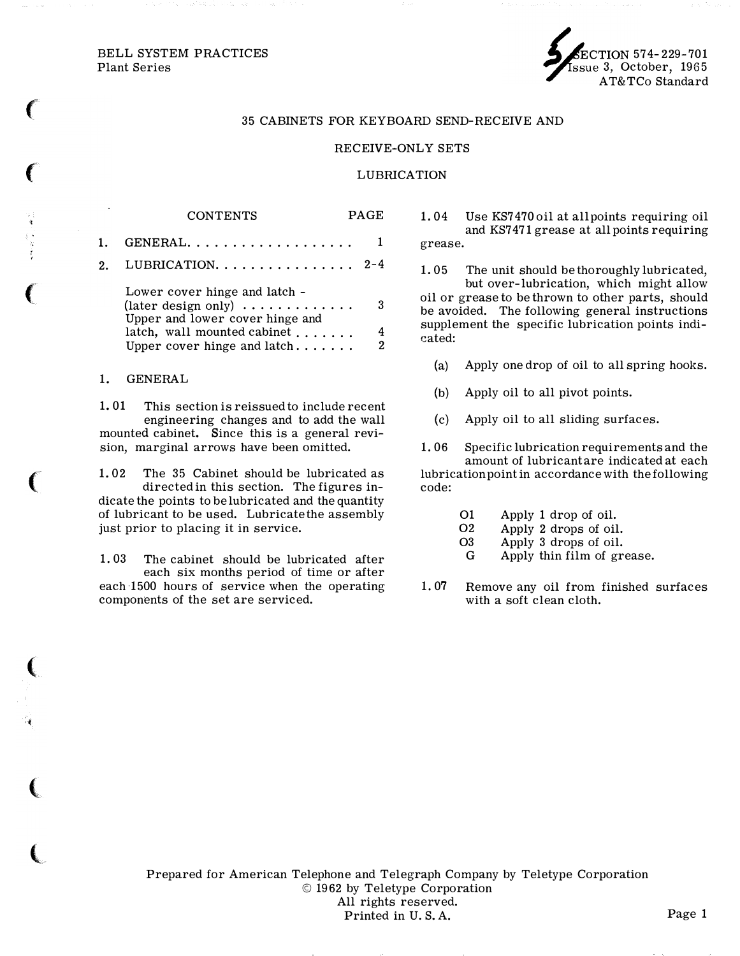# BELL SYSTEM PRACTICES<br>Plant Series

 $\epsilon$ 

 $\big($ 

 $\big($ 

(

(

(

 $\big($ 

 $\overline{\mathbf{C}}$ 



#### 35 CABINETS FOR KEYBOARD SEND-RECEIVE AND

### RECEIVE-ONLY SETS

#### LUBRICATION

CONTENTS PAGE 1. GENERAL ..... .............. 1 2. LUBRICATION................  $2-4$ 

| Lower cover hinge and latch -                                              |   |
|----------------------------------------------------------------------------|---|
| (later design only) $\dots \dots \dots$<br>Upper and lower cover hinge and | 3 |
|                                                                            |   |
| Upper cover hinge and latch                                                | 2 |

#### 1. GENERAL

1. 01 This section is reissued to include recent engineering changes and to add the wall mounted cabinet. Since this is a general revision, marginal arrows have been omitted.

1. 02 The 35 Cabinet should be lubricated as directed in this section. The figures indicate the points to be lubricated and the quantity of lubricant to be used. Lubricate the assembly just prior to placing it in service.

1. 03 The cabinet should be lubricated after each six months period of time or after each 1500 hours of service when the operating components of the set are serviced.

1. 04 Use KS7470 oil at all points requiring oil and KS7 471 grease at all points requiring grease.

1. 05 The unit should be thoroughly lubricated, but over-lubrication, which might allow oil or grease to be thrown to other parts, should be avoided. The following general instructions supplement the specific lubrication points indicated:

- (a) Apply one drop of oil to all spring hooks.
- (b) Apply oil to all pivot points.
- (c) Apply oil to all sliding surfaces.

1. 06 Specific lubrication requirements and the amount of lubricant are indicated at each lubrication point in accordance with the following code:

- 01 Apply 1 drop of oil.
- 02 Apply 2 drops of oil.
- 03 Apply 3 drops of oil.
- G Apply thin film of grease.
- 1. 07 Remove any oil from finished surfaces with a soft clean cloth.

Prepared for American Telephone and Telegraph Company by Teletype Corporation © 1962 by Teletype Corporation All rights reserved. Printed in U.S.A. Page 1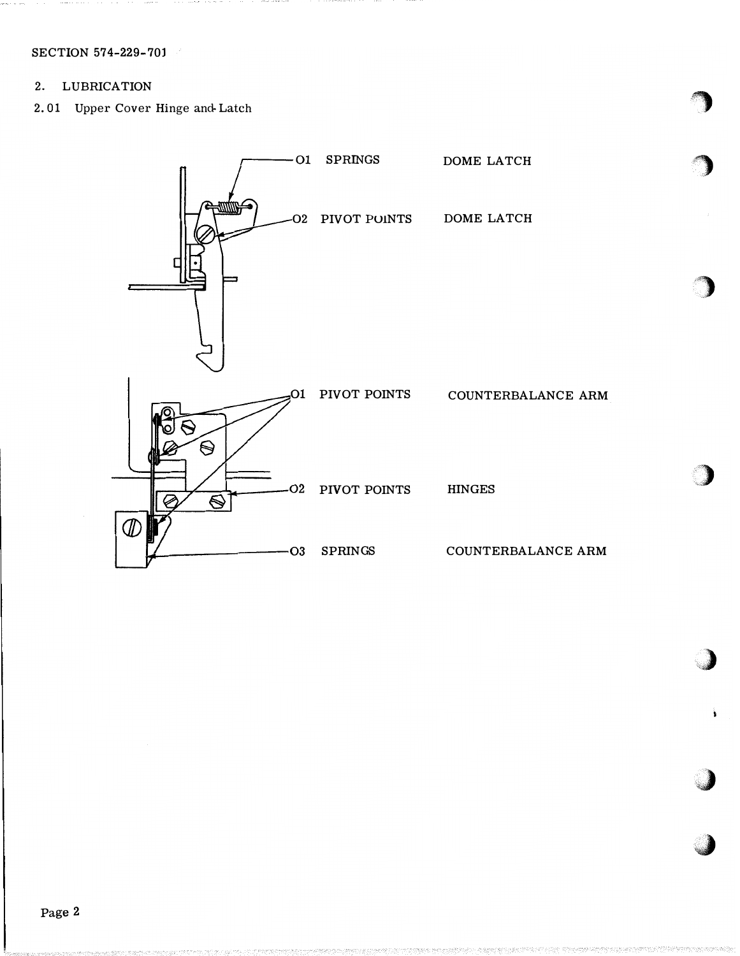SECTION 574-229-701

#### $2.$ **LUBRICATION**

2.01 Upper Cover Hinge and Latch

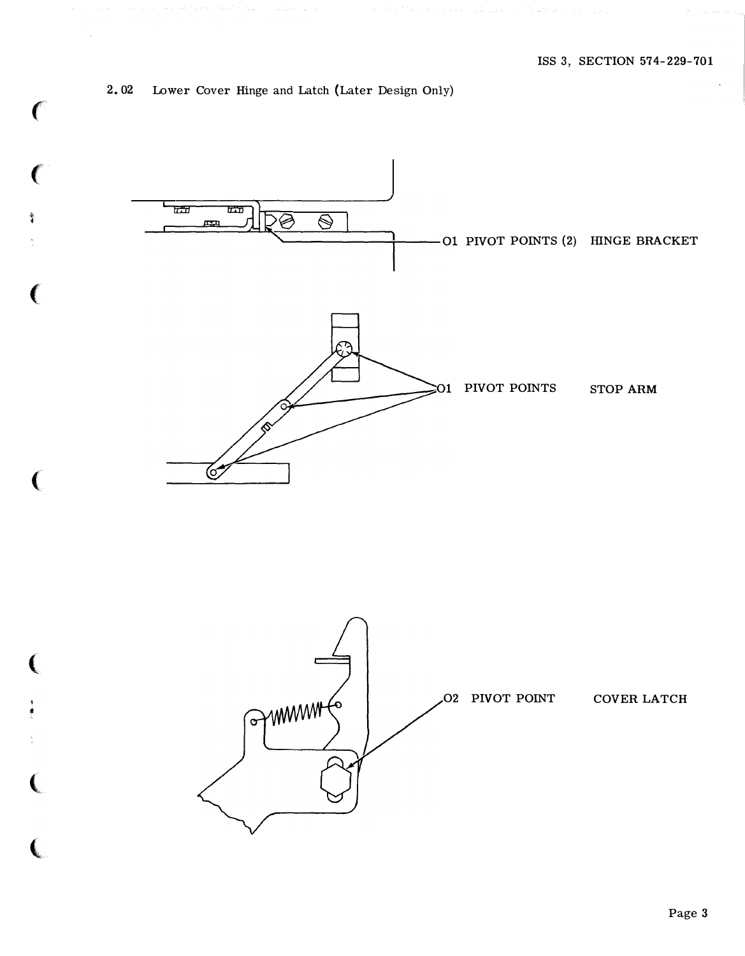## 2. 02 Lower Cover Hinge and Latch (Later Design Only)

 $\mathbf{C}$ 

 $\mathbf{C}$ 

 $\ddot{\phantom{a}}$ 

 $\big($ 

 $\mathbf{C}$ 

**人名** 

I •

 $\big($ 

**人**